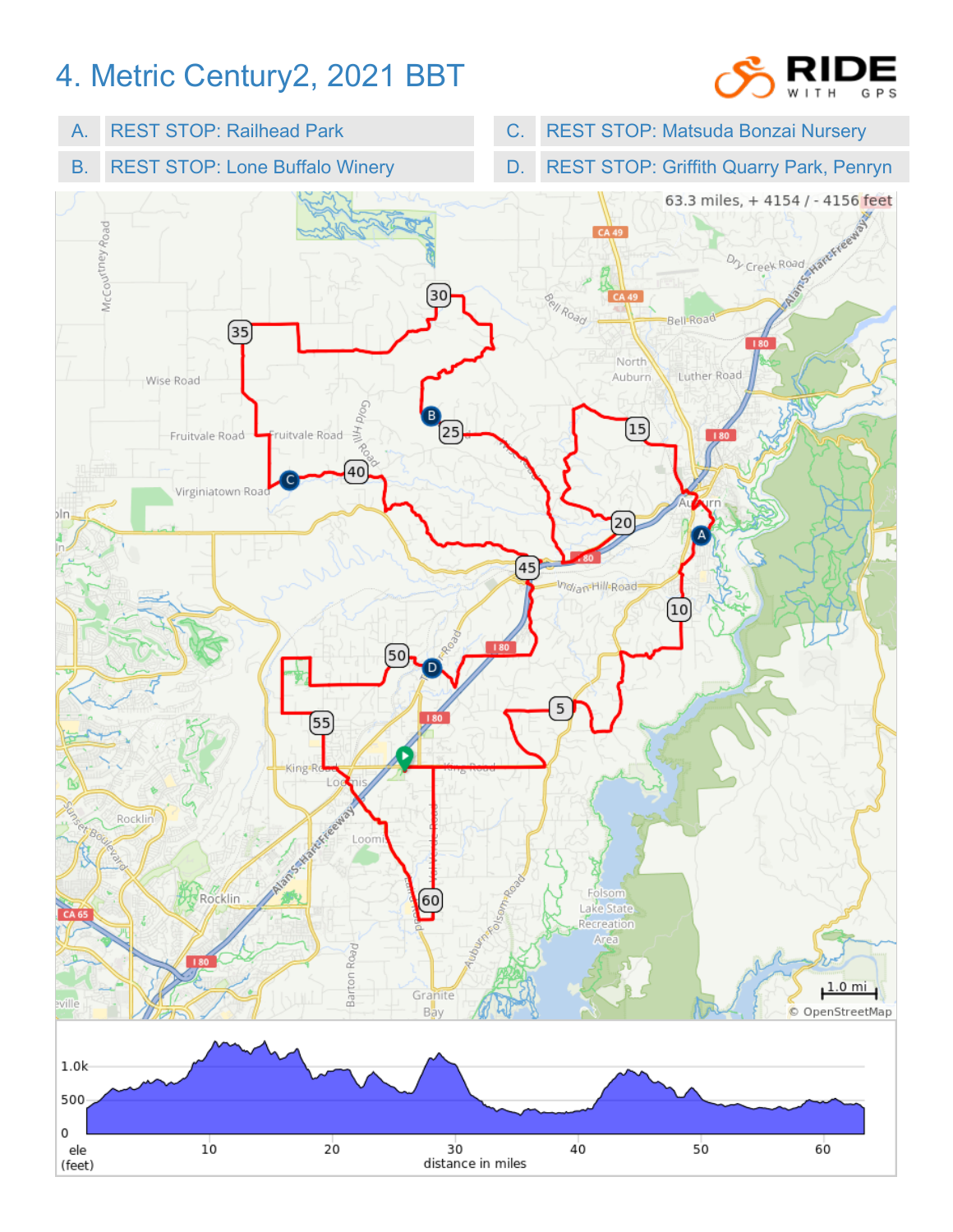## 4. Metric Century2, 2021 BBT



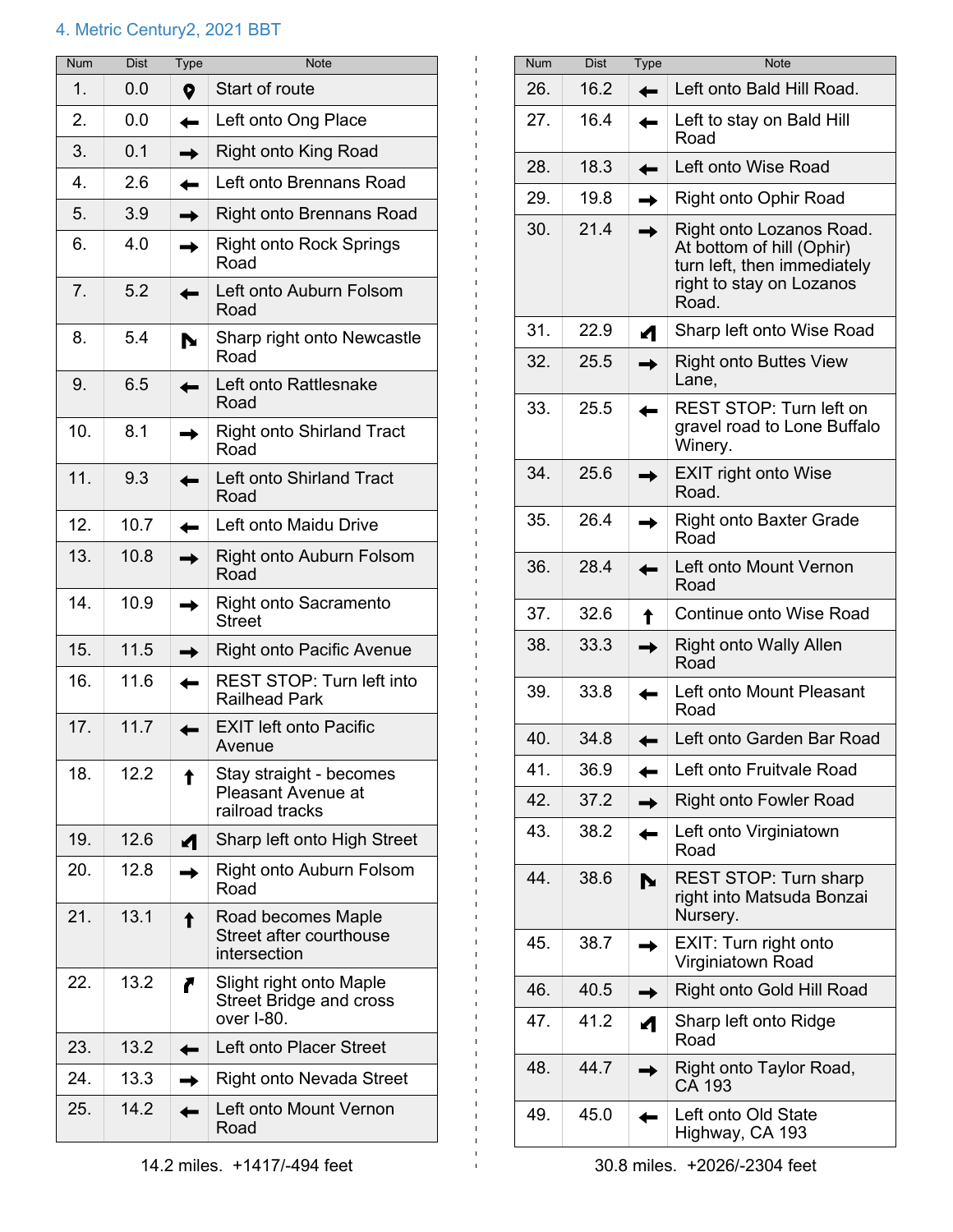## 4. Metric Century2, 2021 BBT

| <b>Num</b>       | <b>Dist</b> | Type | <b>Note</b>                                                             |
|------------------|-------------|------|-------------------------------------------------------------------------|
| 1.               | 0.0         | Q    | Start of route                                                          |
| 2.               | 0.0         |      | Left onto Ong Place                                                     |
| 3.               | 0.1         |      | <b>Right onto King Road</b>                                             |
| $\overline{4}$ . | 2.6         |      | Left onto Brennans Road                                                 |
| 5.               | 3.9         |      | <b>Right onto Brennans Road</b>                                         |
| 6.               | 4.0         |      | <b>Right onto Rock Springs</b><br>Road                                  |
| 7.               | 5.2         |      | Left onto Auburn Folsom<br>Road                                         |
| 8.               | 5.4         |      | Sharp right onto Newcastle<br>Road                                      |
| 9.               | 6.5         |      | Left onto Rattlesnake<br>Road                                           |
| 10.              | 8.1         |      | <b>Right onto Shirland Tract</b><br>Road                                |
| 11.              | 9.3         |      | Left onto Shirland Tract<br>Road                                        |
| 12.              | 10.7        |      | Left onto Maidu Drive                                                   |
| 13.              | 10.8        |      | Right onto Auburn Folsom<br>Road                                        |
| 14.              | 10.9        |      | <b>Right onto Sacramento</b><br><b>Street</b>                           |
| 15.              | 11.5        |      | <b>Right onto Pacific Avenue</b>                                        |
| 16.              | 11.6        |      | <b>REST STOP: Turn left into</b><br><b>Railhead Park</b>                |
| 17.              | 11.7        |      | <b>EXIT left onto Pacific</b><br>Avenue                                 |
| 18.              | 12.2        |      | Stay straight - becomes<br><b>Pleasant Avenue at</b><br>railroad tracks |
| 19.              | 12.6        |      | Sharp left onto High Street                                             |
| 20.              | 12.8        |      | Right onto Auburn Folsom<br>Road                                        |
| 21.              | 13.1        |      | Road becomes Maple<br>Street after courthouse<br>intersection           |
| 22.              | 13.2        |      | Slight right onto Maple<br><b>Street Bridge and cross</b><br>over I-80. |
| 23.              | 13.2        |      | Left onto Placer Street                                                 |
| 24.              | 13.3        |      | <b>Right onto Nevada Street</b>                                         |
| 25.              | 14.2        |      | Left onto Mount Vernon<br>Road                                          |

| <b>Num</b> | <b>Dist</b> | <b>Type</b> | <b>Note</b>                                                                                                               |
|------------|-------------|-------------|---------------------------------------------------------------------------------------------------------------------------|
| 26.        | 16.2        |             | Left onto Bald Hill Road.                                                                                                 |
| 27.        | 16.4        |             | Left to stay on Bald Hill<br>Road                                                                                         |
| 28.        | 18.3        |             | Left onto Wise Road                                                                                                       |
| 29.        | 19.8        |             | Right onto Ophir Road                                                                                                     |
| 30.        | 21.4        |             | Right onto Lozanos Road.<br>At bottom of hill (Ophir)<br>turn left, then immediately<br>right to stay on Lozanos<br>Road. |
| 31.        | 22.9        |             | Sharp left onto Wise Road                                                                                                 |
| 32.        | 25.5        |             | <b>Right onto Buttes View</b><br>Lane,                                                                                    |
| 33.        | 25.5        |             | <b>REST STOP: Turn left on</b><br>gravel road to Lone Buffalo<br>Winery.                                                  |
| 34.        | 25.6        |             | <b>EXIT right onto Wise</b><br>Road.                                                                                      |
| 35.        | 26.4        |             | <b>Right onto Baxter Grade</b><br>Road                                                                                    |
| 36.        | 28.4        |             | Left onto Mount Vernon<br>Road                                                                                            |
| 37.        | 32.6        |             | Continue onto Wise Road                                                                                                   |
| 38.        | 33.3        |             | <b>Right onto Wally Allen</b><br>Road                                                                                     |
| 39.        | 33.8        |             | Left onto Mount Pleasant<br>Road                                                                                          |
| 40.        | 34.8        |             | Left onto Garden Bar Road                                                                                                 |
| 41.        | 36.9        |             | Left onto Fruitvale Road                                                                                                  |
| 42.        | 37.2        |             | <b>Right onto Fowler Road</b>                                                                                             |
| 43.        | 38.2        |             | Left onto Virginiatown<br>Road                                                                                            |
| 44.        | 38.6        |             | REST STOP: Turn sharp<br>right into Matsuda Bonzai<br>Nursery.                                                            |
| 45.        | 38.7        |             | EXIT: Turn right onto<br>Virginiatown Road                                                                                |
| 46.        | 40.5        |             | Right onto Gold Hill Road                                                                                                 |
| 47.        | 41.2        |             | Sharp left onto Ridge<br>Road                                                                                             |
| 48.        | 44.7        |             | Right onto Taylor Road,<br>CA 193                                                                                         |
| 49.        | 45.0        |             | Left onto Old State<br>Highway, CA 193                                                                                    |